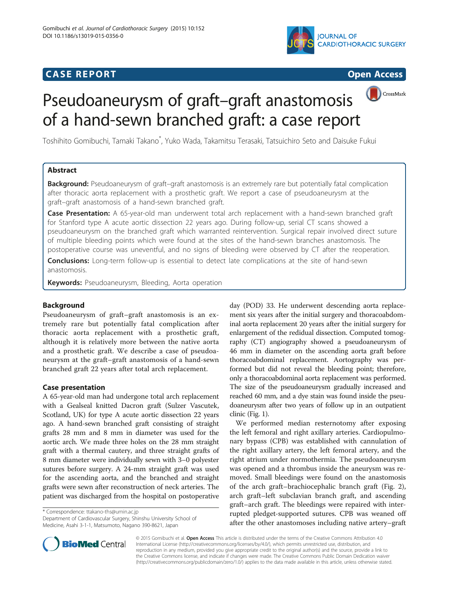## **CASE REPORT CASE REPORT CASE REPORT**





CrossMark

# Pseudoaneurysm of graft–graft anastomosis of a hand-sewn branched graft: a case report

Toshihito Gomibuchi, Tamaki Takano\* , Yuko Wada, Takamitsu Terasaki, Tatsuichiro Seto and Daisuke Fukui

## Abstract

Background: Pseudoaneurysm of graft-graft anastomosis is an extremely rare but potentially fatal complication after thoracic aorta replacement with a prosthetic graft. We report a case of pseudoaneurysm at the graft–graft anastomosis of a hand-sewn branched graft.

Case Presentation: A 65-year-old man underwent total arch replacement with a hand-sewn branched graft for Stanford type A acute aortic dissection 22 years ago. During follow-up, serial CT scans showed a pseudoaneurysm on the branched graft which warranted reintervention. Surgical repair involved direct suture of multiple bleeding points which were found at the sites of the hand-sewn branches anastomosis. The postoperative course was uneventful, and no signs of bleeding were observed by CT after the reoperation.

**Conclusions:** Long-term follow-up is essential to detect late complications at the site of hand-sewn anastomosis.

Keywords: Pseudoaneurysm, Bleeding, Aorta operation

## Background

Pseudoaneurysm of graft–graft anastomosis is an extremely rare but potentially fatal complication after thoracic aorta replacement with a prosthetic graft, although it is relatively more between the native aorta and a prosthetic graft. We describe a case of pseudoaneurysm at the graft–graft anastomosis of a hand-sewn branched graft 22 years after total arch replacement.

## Case presentation

A 65-year-old man had undergone total arch replacement with a Gealseal knitted Dacron graft (Sulzer Vascutek, Scotland, UK) for type A acute aortic dissection 22 years ago. A hand-sewn branched graft consisting of straight grafts 28 mm and 8 mm in diameter was used for the aortic arch. We made three holes on the 28 mm straight graft with a thermal cautery, and three straight grafts of 8 mm diameter were individually sewn with 3–0 polyester sutures before surgery. A 24-mm straight graft was used for the ascending aorta, and the branched and straight grafts were sewn after reconstruction of neck arteries. The patient was discharged from the hospital on postoperative

\* Correspondence: [ttakano-ths@umin.ac.jp](mailto:ttakano-ths@umin.ac.jp)

Department of Cardiovascular Surgery, Shinshu University School of Medicine, Asahi 3-1-1, Matsumoto, Nagano 390-8621, Japan

day (POD) 33. He underwent descending aorta replacement six years after the initial surgery and thoracoabdominal aorta replacement 20 years after the initial surgery for enlargement of the redidual dissection. Computed tomography (CT) angiography showed a pseudoaneurysm of 46 mm in diameter on the ascending aorta graft before thoracoabdominal replacement. Aortography was performed but did not reveal the bleeding point; therefore, only a thoracoabdominal aorta replacement was performed. The size of the pseudoaneurysm gradually increased and reached 60 mm, and a dye stain was found inside the pseudoaneurysm after two years of follow up in an outpatient clinic (Fig. [1](#page-1-0)).

We performed median resternotomy after exposing the left femoral and right axillary arteries. Cardiopulmonary bypass (CPB) was established with cannulation of the right axillary artery, the left femoral artery, and the right atrium under normothermia. The pseudoaneurysm was opened and a thrombus inside the aneurysm was removed. Small bleedings were found on the anastomosis of the arch graft–brachiocephalic branch graft (Fig. [2](#page-1-0)), arch graft–left subclavian branch graft, and ascending graft–arch graft. The bleedings were repaired with interrupted pledget-supported sutures. CPB was weaned off after the other anastomoses including native artery–graft



© 2015 Gomibuchi et al. Open Access This article is distributed under the terms of the Creative Commons Attribution 4.0 International License [\(http://creativecommons.org/licenses/by/4.0/](http://creativecommons.org/licenses/by/4.0/)), which permits unrestricted use, distribution, and reproduction in any medium, provided you give appropriate credit to the original author(s) and the source, provide a link to the Creative Commons license, and indicate if changes were made. The Creative Commons Public Domain Dedication waiver [\(http://creativecommons.org/publicdomain/zero/1.0/](http://creativecommons.org/publicdomain/zero/1.0/)) applies to the data made available in this article, unless otherwise stated.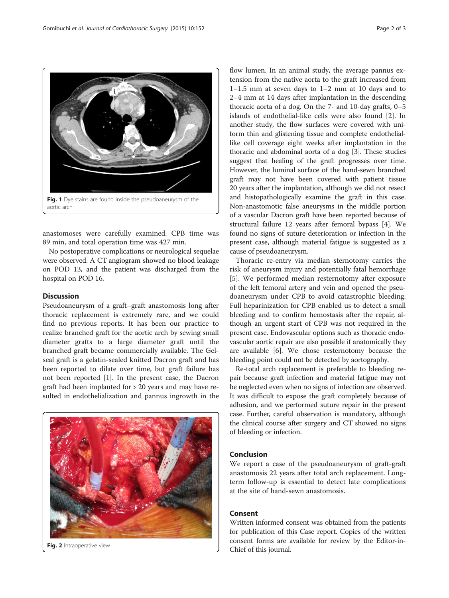anastomoses were carefully examined. CPB time was 89 min, and total operation time was 427 min.

No postoperative complications or neurological sequelae were observed. A CT angiogram showed no blood leakage on POD 13, and the patient was discharged from the hospital on POD 16.

## **Discussion**

Pseudoaneurysm of a graft–graft anastomosis long after thoracic replacement is extremely rare, and we could find no previous reports. It has been our practice to realize branched graft for the aortic arch by sewing small diameter grafts to a large diameter graft until the branched graft became commercially available. The Gelseal graft is a gelatin-sealed knitted Dacron graft and has been reported to dilate over time, but graft failure has not been reported [[1](#page-2-0)]. In the present case, the Dacron graft had been implanted for > 20 years and may have resulted in endothelialization and pannus ingrowth in the

flow lumen. In an animal study, the average pannus extension from the native aorta to the graft increased from 1–1.5 mm at seven days to 1–2 mm at 10 days and to 2–4 mm at 14 days after implantation in the descending thoracic aorta of a dog. On the 7- and 10-day grafts, 0–5 islands of endothelial-like cells were also found [\[2](#page-2-0)]. In another study, the flow surfaces were covered with uniform thin and glistening tissue and complete endotheliallike cell coverage eight weeks after implantation in the thoracic and abdominal aorta of a dog [[3\]](#page-2-0). These studies suggest that healing of the graft progresses over time. However, the luminal surface of the hand-sewn branched graft may not have been covered with patient tissue 20 years after the implantation, although we did not resect and histopathologically examine the graft in this case. Non-anastomotic false aneurysms in the middle portion of a vascular Dacron graft have been reported because of structural failure 12 years after femoral bypass [[4](#page-2-0)]. We found no signs of suture deterioration or infection in the present case, although material fatigue is suggested as a cause of pseudoaneurysm.

Thoracic re-entry via median sternotomy carries the risk of aneurysm injury and potentially fatal hemorrhage [[5\]](#page-2-0). We performed median resternotomy after exposure of the left femoral artery and vein and opened the pseudoaneurysm under CPB to avoid catastrophic bleeding. Full heparinization for CPB enabled us to detect a small bleeding and to confirm hemostasis after the repair, although an urgent start of CPB was not required in the present case. Endovascular options such as thoracic endovascular aortic repair are also possible if anatomically they are available [\[6](#page-2-0)]. We chose resternotomy because the bleeding point could not be detected by aortography.

Re-total arch replacement is preferable to bleeding repair because graft infection and material fatigue may not be neglected even when no signs of infection are observed. It was difficult to expose the graft completely because of adhesion, and we performed suture repair in the present case. Further, careful observation is mandatory, although the clinical course after surgery and CT showed no signs of bleeding or infection.

#### Conclusion

We report a case of the pseudoaneurysm of graft-graft anastomosis 22 years after total arch replacement. Longterm follow-up is essential to detect late complications at the site of hand-sewn anastomosis.

## Consent

Written informed consent was obtained from the patients for publication of this Case report. Copies of the written consent forms are available for review by the Editor-in-Chief of this journal.



<span id="page-1-0"></span>